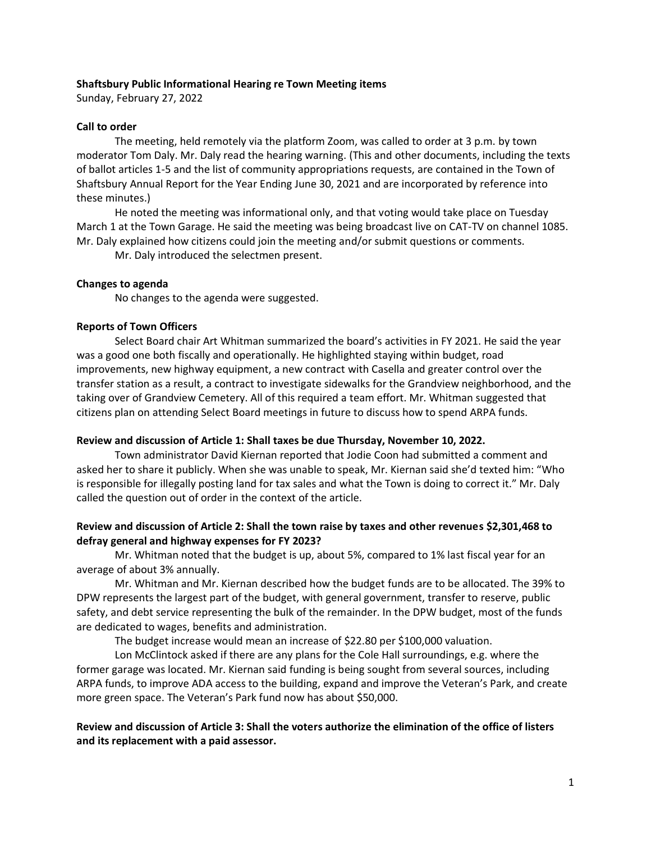## **Shaftsbury Public Informational Hearing re Town Meeting items**

Sunday, February 27, 2022

## **Call to order**

The meeting, held remotely via the platform Zoom, was called to order at 3 p.m. by town moderator Tom Daly. Mr. Daly read the hearing warning. (This and other documents, including the texts of ballot articles 1-5 and the list of community appropriations requests, are contained in the Town of Shaftsbury Annual Report for the Year Ending June 30, 2021 and are incorporated by reference into these minutes.)

He noted the meeting was informational only, and that voting would take place on Tuesday March 1 at the Town Garage. He said the meeting was being broadcast live on CAT-TV on channel 1085. Mr. Daly explained how citizens could join the meeting and/or submit questions or comments.

Mr. Daly introduced the selectmen present.

# **Changes to agenda**

No changes to the agenda were suggested.

# **Reports of Town Officers**

Select Board chair Art Whitman summarized the board's activities in FY 2021. He said the year was a good one both fiscally and operationally. He highlighted staying within budget, road improvements, new highway equipment, a new contract with Casella and greater control over the transfer station as a result, a contract to investigate sidewalks for the Grandview neighborhood, and the taking over of Grandview Cemetery. All of this required a team effort. Mr. Whitman suggested that citizens plan on attending Select Board meetings in future to discuss how to spend ARPA funds.

# **Review and discussion of Article 1: Shall taxes be due Thursday, November 10, 2022.**

Town administrator David Kiernan reported that Jodie Coon had submitted a comment and asked her to share it publicly. When she was unable to speak, Mr. Kiernan said she'd texted him: "Who is responsible for illegally posting land for tax sales and what the Town is doing to correct it." Mr. Daly called the question out of order in the context of the article.

# **Review and discussion of Article 2: Shall the town raise by taxes and other revenues \$2,301,468 to defray general and highway expenses for FY 2023?**

Mr. Whitman noted that the budget is up, about 5%, compared to 1% last fiscal year for an average of about 3% annually.

Mr. Whitman and Mr. Kiernan described how the budget funds are to be allocated. The 39% to DPW represents the largest part of the budget, with general government, transfer to reserve, public safety, and debt service representing the bulk of the remainder. In the DPW budget, most of the funds are dedicated to wages, benefits and administration.

The budget increase would mean an increase of \$22.80 per \$100,000 valuation.

Lon McClintock asked if there are any plans for the Cole Hall surroundings, e.g. where the former garage was located. Mr. Kiernan said funding is being sought from several sources, including ARPA funds, to improve ADA access to the building, expand and improve the Veteran's Park, and create more green space. The Veteran's Park fund now has about \$50,000.

**Review and discussion of Article 3: Shall the voters authorize the elimination of the office of listers and its replacement with a paid assessor.**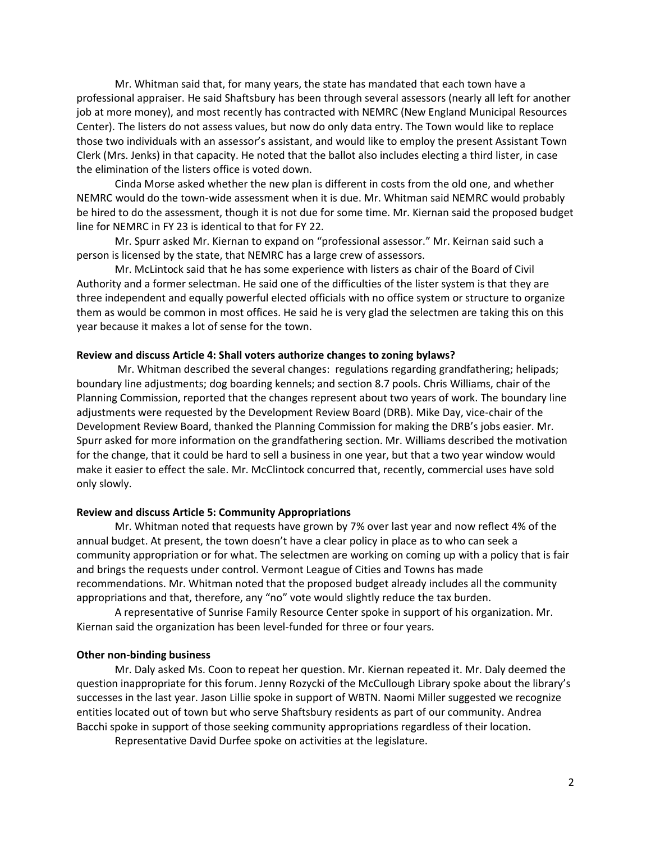Mr. Whitman said that, for many years, the state has mandated that each town have a professional appraiser. He said Shaftsbury has been through several assessors (nearly all left for another job at more money), and most recently has contracted with NEMRC (New England Municipal Resources Center). The listers do not assess values, but now do only data entry. The Town would like to replace those two individuals with an assessor's assistant, and would like to employ the present Assistant Town Clerk (Mrs. Jenks) in that capacity. He noted that the ballot also includes electing a third lister, in case the elimination of the listers office is voted down.

Cinda Morse asked whether the new plan is different in costs from the old one, and whether NEMRC would do the town-wide assessment when it is due. Mr. Whitman said NEMRC would probably be hired to do the assessment, though it is not due for some time. Mr. Kiernan said the proposed budget line for NEMRC in FY 23 is identical to that for FY 22.

Mr. Spurr asked Mr. Kiernan to expand on "professional assessor." Mr. Keirnan said such a person is licensed by the state, that NEMRC has a large crew of assessors.

Mr. McLintock said that he has some experience with listers as chair of the Board of Civil Authority and a former selectman. He said one of the difficulties of the lister system is that they are three independent and equally powerful elected officials with no office system or structure to organize them as would be common in most offices. He said he is very glad the selectmen are taking this on this year because it makes a lot of sense for the town.

### **Review and discuss Article 4: Shall voters authorize changes to zoning bylaws?**

Mr. Whitman described the several changes: regulations regarding grandfathering; helipads; boundary line adjustments; dog boarding kennels; and section 8.7 pools. Chris Williams, chair of the Planning Commission, reported that the changes represent about two years of work. The boundary line adjustments were requested by the Development Review Board (DRB). Mike Day, vice-chair of the Development Review Board, thanked the Planning Commission for making the DRB's jobs easier. Mr. Spurr asked for more information on the grandfathering section. Mr. Williams described the motivation for the change, that it could be hard to sell a business in one year, but that a two year window would make it easier to effect the sale. Mr. McClintock concurred that, recently, commercial uses have sold only slowly.

#### **Review and discuss Article 5: Community Appropriations**

Mr. Whitman noted that requests have grown by 7% over last year and now reflect 4% of the annual budget. At present, the town doesn't have a clear policy in place as to who can seek a community appropriation or for what. The selectmen are working on coming up with a policy that is fair and brings the requests under control. Vermont League of Cities and Towns has made recommendations. Mr. Whitman noted that the proposed budget already includes all the community appropriations and that, therefore, any "no" vote would slightly reduce the tax burden.

A representative of Sunrise Family Resource Center spoke in support of his organization. Mr. Kiernan said the organization has been level-funded for three or four years.

## **Other non-binding business**

Mr. Daly asked Ms. Coon to repeat her question. Mr. Kiernan repeated it. Mr. Daly deemed the question inappropriate for this forum. Jenny Rozycki of the McCullough Library spoke about the library's successes in the last year. Jason Lillie spoke in support of WBTN. Naomi Miller suggested we recognize entities located out of town but who serve Shaftsbury residents as part of our community. Andrea Bacchi spoke in support of those seeking community appropriations regardless of their location.

Representative David Durfee spoke on activities at the legislature.